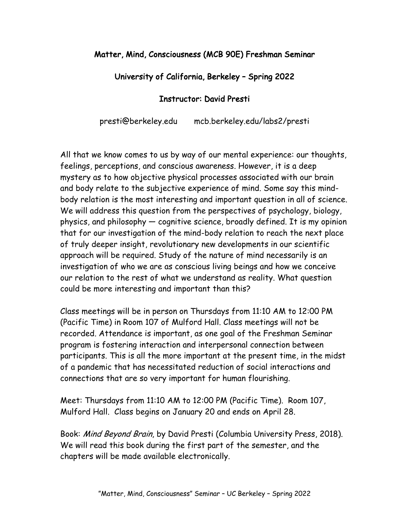## Matter, Mind, Consciousness (MCB 90E) Freshman Seminar

## University of California, Berkeley – Spring 2022

## Instructor: David Presti

presti@berkeley.edu mcb.berkeley.edu/labs2/presti

All that we know comes to us by way of our mental experience: our thoughts, feelings, perceptions, and conscious awareness. However, it is a deep mystery as to how objective physical processes associated with our brain and body relate to the subjective experience of mind. Some say this mindbody relation is the most interesting and important question in all of science. We will address this question from the perspectives of psychology, biology, physics, and philosophy — cognitive science, broadly defined. It is my opinion that for our investigation of the mind-body relation to reach the next place of truly deeper insight, revolutionary new developments in our scientific approach will be required. Study of the nature of mind necessarily is an investigation of who we are as conscious living beings and how we conceive our relation to the rest of what we understand as reality. What question could be more interesting and important than this?

Class meetings will be in person on Thursdays from 11:10 AM to 12:00 PM (Pacific Time) in Room 107 of Mulford Hall. Class meetings will not be recorded. Attendance is important, as one goal of the Freshman Seminar program is fostering interaction and interpersonal connection between participants. This is all the more important at the present time, in the midst of a pandemic that has necessitated reduction of social interactions and connections that are so very important for human flourishing.

Meet: Thursdays from 11:10 AM to 12:00 PM (Pacific Time). Room 107, Mulford Hall. Class begins on January 20 and ends on April 28.

Book: Mind Beyond Brain, by David Presti (Columbia University Press, 2018). We will read this book during the first part of the semester, and the chapters will be made available electronically.